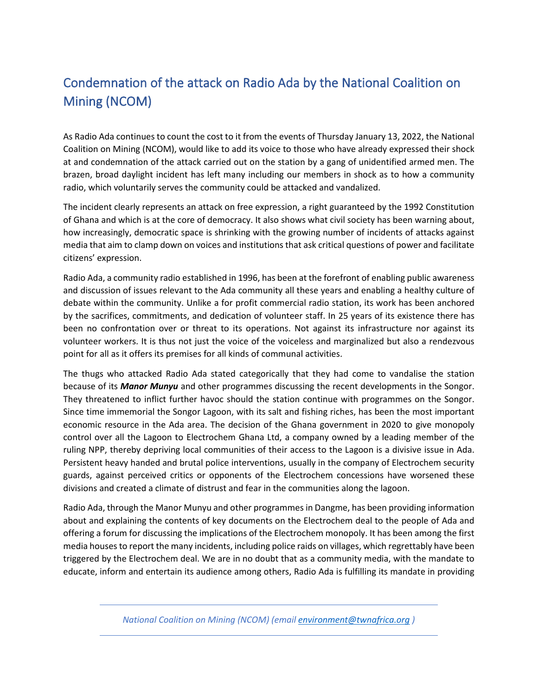## Condemnation of the attack on Radio Ada by the National Coalition on Mining (NCOM)

As Radio Ada continues to count the cost to it from the events of Thursday January 13, 2022, the National Coalition on Mining (NCOM), would like to add its voice to those who have already expressed their shock at and condemnation of the attack carried out on the station by a gang of unidentified armed men. The brazen, broad daylight incident has left many including our members in shock as to how a community radio, which voluntarily serves the community could be attacked and vandalized.

The incident clearly represents an attack on free expression, a right guaranteed by the 1992 Constitution of Ghana and which is at the core of democracy. It also shows what civil society has been warning about, how increasingly, democratic space is shrinking with the growing number of incidents of attacks against media that aim to clamp down on voices and institutions that ask critical questions of power and facilitate citizens' expression.

Radio Ada, a community radio established in 1996, has been at the forefront of enabling public awareness and discussion of issues relevant to the Ada community all these years and enabling a healthy culture of debate within the community. Unlike a for profit commercial radio station, its work has been anchored by the sacrifices, commitments, and dedication of volunteer staff. In 25 years of its existence there has been no confrontation over or threat to its operations. Not against its infrastructure nor against its volunteer workers. It is thus not just the voice of the voiceless and marginalized but also a rendezvous point for all as it offers its premises for all kinds of communal activities.

The thugs who attacked Radio Ada stated categorically that they had come to vandalise the station because of its *Manor Munyu* and other programmes discussing the recent developments in the Songor. They threatened to inflict further havoc should the station continue with programmes on the Songor. Since time immemorial the Songor Lagoon, with its salt and fishing riches, has been the most important economic resource in the Ada area. The decision of the Ghana government in 2020 to give monopoly control over all the Lagoon to Electrochem Ghana Ltd, a company owned by a leading member of the ruling NPP, thereby depriving local communities of their access to the Lagoon is a divisive issue in Ada. Persistent heavy handed and brutal police interventions, usually in the company of Electrochem security guards, against perceived critics or opponents of the Electrochem concessions have worsened these divisions and created a climate of distrust and fear in the communities along the lagoon.

Radio Ada, through the Manor Munyu and other programmesin Dangme, has been providing information about and explaining the contents of key documents on the Electrochem deal to the people of Ada and offering a forum for discussing the implications of the Electrochem monopoly. It has been among the first media houses to report the many incidents, including police raids on villages, which regrettably have been triggered by the Electrochem deal. We are in no doubt that as a community media, with the mandate to educate, inform and entertain its audience among others, Radio Ada is fulfilling its mandate in providing

*National Coalition on Mining (NCOM) (emai[l environment@twnafrica.org](mailto:environment@twnafrica.org) )*